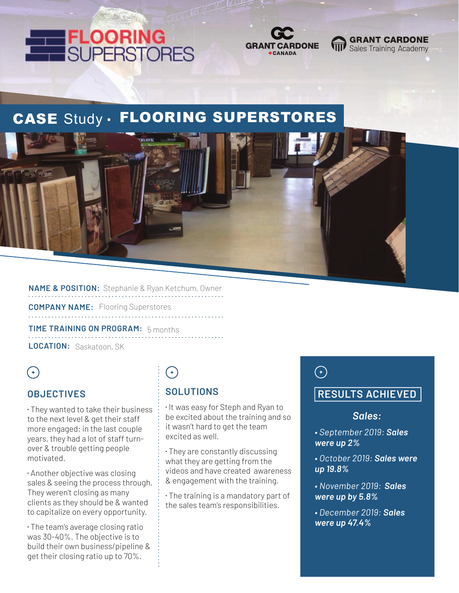



# CASE Study · FLOORING SUPERSTORES



**NAME & POSITION:** Stephanie & Ryan Ketchum, Owner

**COMPANY NAME:** Flooring Superstores 

**TIME TRAINING ON PROGRAM:** 5 months **LOCATION:** Saskatoon, SK

### $\left( \begin{matrix} + \end{matrix} \right)$

#### **OBJECTIVES**

⁌ They wanted to take their business to the next level & get their staff more engaged; in the last couple years, they had a lot of staff turnover & trouble getting people motivated.

⁌ Another objective was closing sales & seeing the process through. They weren't closing as many clients as they should be & wanted to capitalize on every opportunity.

⁌ The team's average closing ratio was 30-40%. The objective is to build their own business/pipeline & get their closing ratio up to 70%.

# $(+)$

#### **SOLUTIONS**

⁌ It was easy for Steph and Ryan to be excited about the training and so it wasn't hard to get the team excited as well.

⁌ They are constantly discussing what they are getting from the videos and have created awareness & engagement with the training.

⁌ The training is a mandatory part of the sales team's responsibilities.

## $\bigodot$

#### **RESULTS ACHIEVED**

**GRANT CARDONE** 

Sales Training Academy

#### *Sales:*

- *September 2019: Sales were up 2%*
- *October 2019: Sales were up 19.8%*
- *November 2019: Sales were up by 5.8%*
- *December 2019: Sales were up 47.4%*